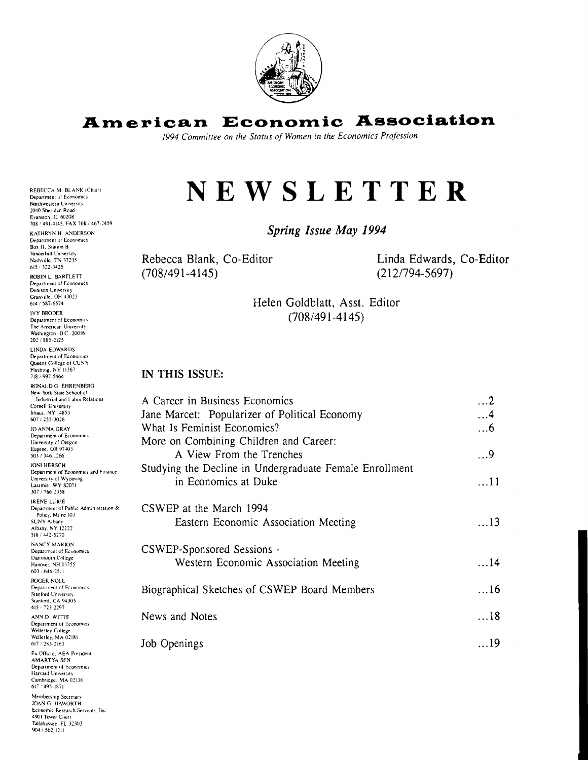

# **Amepican Economic Association**

*1994 Committee on the Status of Women in the Economics Profession* 

# **NEWSLETTER**

*Spring Issue May* **1994** 

Rebecca Blank, Co-Editor  $(708/491 - 4145)$ 

Linda Edwards, Co-Editor  $(212/794-5697)$ 

Helen Goldblatt, Asst. Editor  $(708/491 - 4145)$ 

#### **IN THIS ISSUE:**

| A Career in Business Economics                          | . 2         |
|---------------------------------------------------------|-------------|
| Jane Marcet: Popularizer of Political Economy           | $\dots 4$   |
| What Is Feminist Economics?                             | $\dots6$    |
| More on Combining Children and Career:                  |             |
| A View From the Trenches                                | $\ldots$ 9  |
| Studying the Decline in Undergraduate Female Enrollment |             |
| in Economics at Duke                                    | $\ldots$ 11 |
|                                                         |             |
| CSWEP at the March 1994                                 |             |
| Eastern Economic Association Meeting                    | $\ldots$ 13 |
|                                                         |             |
| CSWEP-Sponsored Sessions -                              |             |
| Western Economic Association Meeting                    | $\dots$ 14  |
|                                                         |             |
| Biographical Sketches of CSWEP Board Members            | $\dots$ 16  |
|                                                         |             |
| News and Notes                                          | 18          |
|                                                         |             |
| Job Openings                                            | 19          |
|                                                         |             |

REBECCA M. BLANK (Chair) Department of **Economics** Northwestern University 2040 Sheridan Road Evanslon. IL M208 708 , 491-4145. FAX 708: 467-2459

KATHRYN H. ANDERSON Department of Economics Box 11. Station B Vanderbilt University<br>Nashville, TN 37235<br>615 i 322-3425

ROBIN L. BARTLETT Department of Economics Demson University Granville, OH 43023 614 1587-6574

IVY RRODER Department of Economics The American University Washmglon. **D** C ZOO16

202 1885-2125 LINDA EDWARDS Department of Economics Queens College of CUNY Flushmg. NY 11367 718 i 991-5461

RONALD G. EHRENBERG New York State School of Industrial and Labor Relations Cornell University Ithaca. NY 14853 607 1255-3026 JO ANNA GRAY Department of Economics University of Oregon Eugene, OR 97403 503 1346-1266

**JONI HERSCH** Department of Economics and Finance University of Wyoming<br>Laramie, WY 82071 307 i 166-2158

IRENE LURlE Department of Public Administration & Policy, Milne 103 SUNY-Albany<br>Albany, NY 12222 518 : 442-527U NANCY MARION

Department of Economics Dartmouth College Hanover. NH 01755 603 / 646-2511

ROGER NOLL Department of Economics Stanford University Stanford, CA 94305

415 723-2291 ANN D WITTE Department of Economics

Wellesley Collegc Weilesley. MA O2IRI 617: 283-21h3

Ex Officio, AEA President<br>AMARTYA SEN Department of *Economics* Harvard University Cambridge. MA 02138 61' '4W.IR71

Membership Secretary JOAN G HAWORTH Economic Research Services, Inc. 4901 Tower Court<br>Tallahassee, FL 32303 904 / 562-1211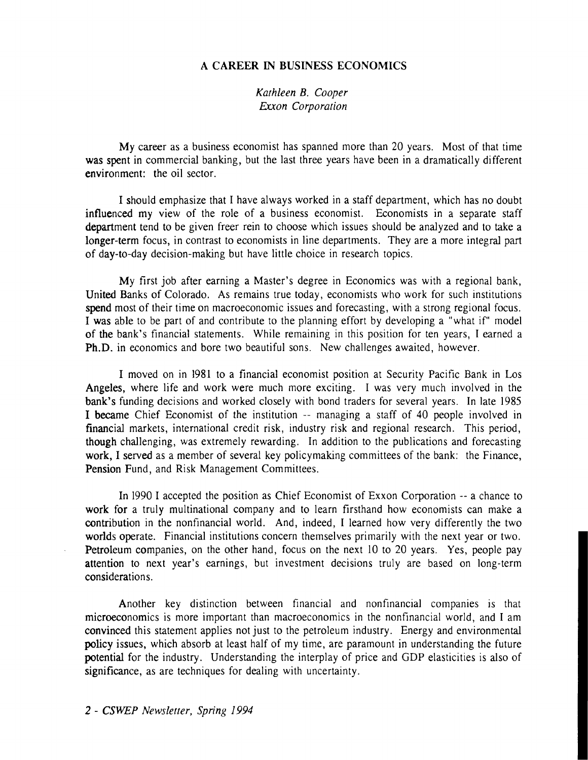# **A CAREER IN BUSINESS ECONOMICS**

#### *Kathleen B. Cooper Exxon Corporation*

My career as a business economist has spanned more than 20 years. Most of that time was spent in commercial banking, but the last three years have been in a dramatically different environment: the oil sector.

I should emphasize that I have always worked in a staff department, which has no doubt influenced my view of the role of a business economist. Economists in a separate staff department tend to be given freer rein to choose which issues should be analyzed and to take a longer-term focus, in contrast to economists in line departments. They are a more integral part of day-to-day decision-making but have little choice in research topics.

My first job after earning a Master's degree in Economics was with a regional bank, United Banks of Colorado. As remains true today, economists who work for such institutions spend most of their time on macroeconomic issues and forecasting, with a strong regional focus. I was able to be part of and contribute to the planning effort by developing a "what if" model of the bank's financial statements. While remaining in this position for ten years, I earned a Ph.D. in economics and bore two beautiful sons. New challenges awaited, however.

I moved on in 1981 to a financial economist position at Security Pacific Bank in Los Angeles, where life and work were much more exciting. I was very much involved in the bank's funding decisions and worked closely with bond traders for several years. In late 1985 I became Chief Economist of the institution -- managing a staff of 40 people involved in financial markets, international credit risk, industry risk and regional research. This period, though challenging, was extremely rewarding. In addition to the publications and forecasting work, I served as a member of several key policymaking committees of the bank: the Finance, Pension Fund, and Risk Management Committees.

In 1990 I accepted the position as Chief Economist of Exxon Corporation -- a chance to work for a truly multinational company and to learn firsthand how economists can make a contribution in the nonfinancial world. And, indeed, I learned how very differently the two worlds operate. Financial institutions concern themselves primarily with the next year or two. Petroleum companies, on the other hand, focus on the next 10 to 20 years. Yes, people pay attention to next year's earnings, but investment decisions truly are based on long-term considerations.

Another key distinction between financial and nonfinancial companies is that microeconomics is more important than macroeconomics in the nonfinancial world, and I am convinced this statement applies not just to the petroleum industry. Energy and environmental policy issues, which absorb at least half of my time, are paramount in understanding the future potential for the industry. Understanding the interplay of price and GDP elasticities is also of significance, as are techniques for dealing with uncertainty.

**2** - **CSWEP** *Newsletter, Spring 1994*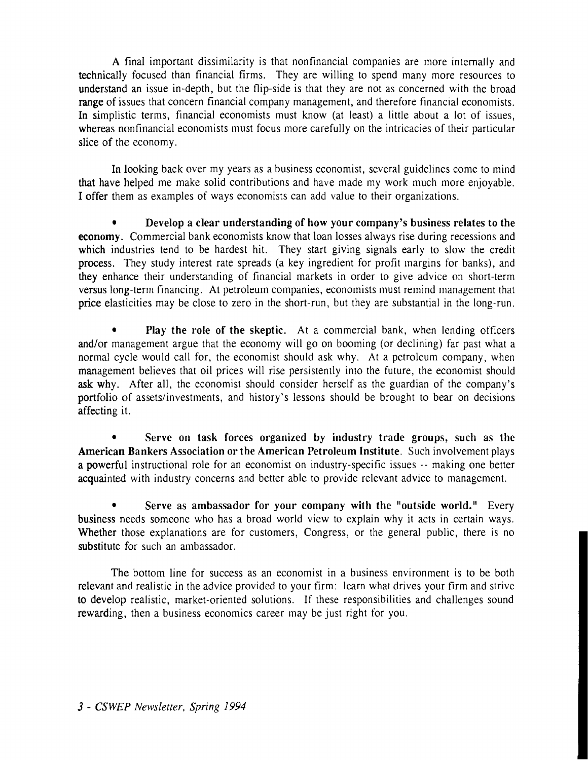A final important dissimilarity is that nonfinancial companies are more internally and technically focused than financial firms. They are willing to spend many more resources to understand an issue in-depth, but the flip-side is that they are not as concerned with the broad range of issues that concern financial company management, and therefore financial economists. In simplistic terms, financial economists must know (at least) a little about a lot of issues, whereas nonfinancial economists must focus more carefully on the intricacies of their particular slice of the economy.

In looking back over my years as a business economist, several guidelines come to mind that have helped me make solid contributions and have made my work much more enjoyable. I offer them as examples of ways economists can add value to their organizations.

**<sup>a</sup>Develop a clear understanding of how your company's business relates to the economy.** Commercial bank economists know that loan losses always rise during recessions and which industries tend to be hardest hit. They start giving signals early to slow the credit process. They study interest rate spreads (a key ingredient for profit margins for banks), and they enhance their understanding of financial markets in order to give advice on short-term versus long-term financing. At petroleum companies, economists must remind management that price elasticities may be close to zero in the short-run, but they are substantial in the long-run.

Play the role of the skeptic. At a commercial bank, when lending officers and/or management argue that the economy will go on booming (or declining) far past what a normal cycle would call for, the economist should ask why. At a petroleum company, when management believes that oil prices will rise persistently into the future, the economist should ask why. After all, the economist should consider herself as the guardian of the company's portfolio of assets/investments, and history's lessons should be brought to bear on decisions affecting it.

Serve on task forces organized by industry trade groups, such as the **American Bankers Association or the American Petroleum Institute.** Such involvement plays a powerful instructional role for an economist on industry-specific issues -- making one better acquainted with industry concerns and better able to provide relevant advice to management.

**<sup>a</sup>Serve as ambassador for your company with the "outside world."** Every business needs someone who has a broad world view to explain why it acts in certain ways. Whether those explanations are for customers, Congress, or the general public, there is no substitute for such an ambassador.

The bottom line for success as an economist in a business environment is to be both relevant and realistic in the advice provided to your firm: learn what drives your firm and strive to develop realistic, market-oriented solutions. If these responsibilities and challenges sound rewarding, then a business economics career may be just right for you.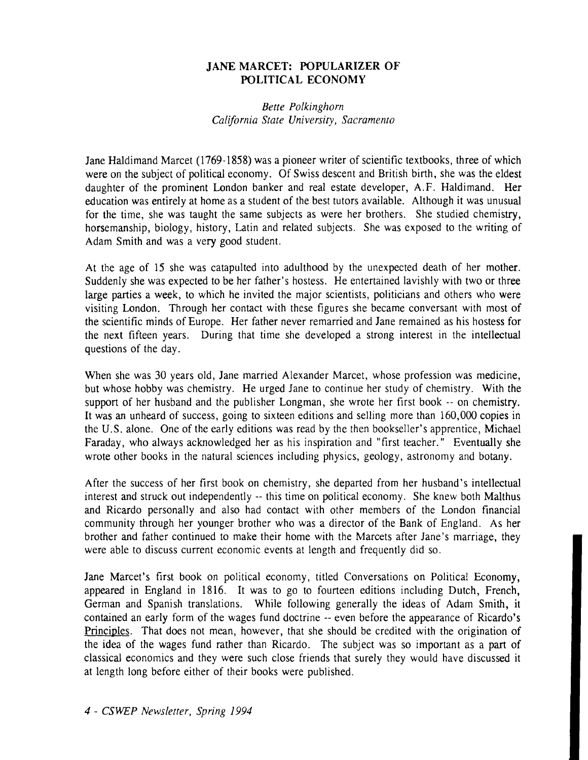# **JANE MARCET: POPULARIZER OF POLITICAL ECONOMY**

# *Bette Polkinghorn California State University, Sacramento*

Jane Haldimand Marcet (1769- 1858) was a pioneer writer of scientific textbooks, three of which were on the subject of political economy. Of Swiss descent and British birth, she was the eldest daughter of the prominent London banker and real estate developer, A.F. Haldimand. Her education was entirely at home as a student of the best tutors available. Although it was unusual for the time, she was taught the same subjects as were her brothers. She studied chemistry, horsemanship, biology, history, Latin and related subjects. She was exposed to the writing of Adam Smith and was a very good student.

At the age of 15 she was catapulted into adulthood by the unexpected death of her mother. Suddenly she was expected to be her father's hostess. He entertained lavishly with two or three large parties a week, to which he invited the major scientists, politicians and others who were visiting London. Through her contact with these figures she became conversant with most of the scientific minds of Europe. Her father never remarried and Jane remained as his hostess for the next fifteen years. During that time she developed a strong interest in the intellectual questions of the day.

When she was 30 years old, Jane married Alexander Marcet, whose profession was medicine, but whose hobby was chemistry. He urged Jane to continue her study of chemistry. With the support of her husband and the publisher Longman, she wrote her first book -- on chemistry. It was an unheard of success, going to sixteen editions and selling more than 160,000 copies in the U.S. alone. One of the early editions was read by the then bookseller's apprentice, Michael Faraday, who always acknowledged her as his inspiration and "first teacher." Eventually she wrote other books in the natural sciences including physics, geology, astronomy and botany.

After the success of her first book on chemistry, she departed from her husband's intellectual interest and struck out independently -- this time on political economy. She knew both Malthus and Ricardo personally and also had contact with other members of the London financial community through her younger brother who was a director of the Bank of England. As her brother and father continued to make their home with the Marcets after Jane's marriage, they were able to discuss current economic events at length and frequently did so.

Jane Marcet's first book on political economy, titled Conversations on Political Economy, appeared in England in 1816. It was to go to fourteen editions including Dutch, French, German and Spanish translations. While following generally the ideas of Adam Smith, it contained an early form of the wages fund doctrine -- even before the appearance of Ricardo's Principles. That does not mean, however, that she should be credited with the origination of the idea of the wages fund rather than Ricardo. The subject was so important as a part of classical economics and they were such close friends that surely they would have discussed it at length long before either of their books were published.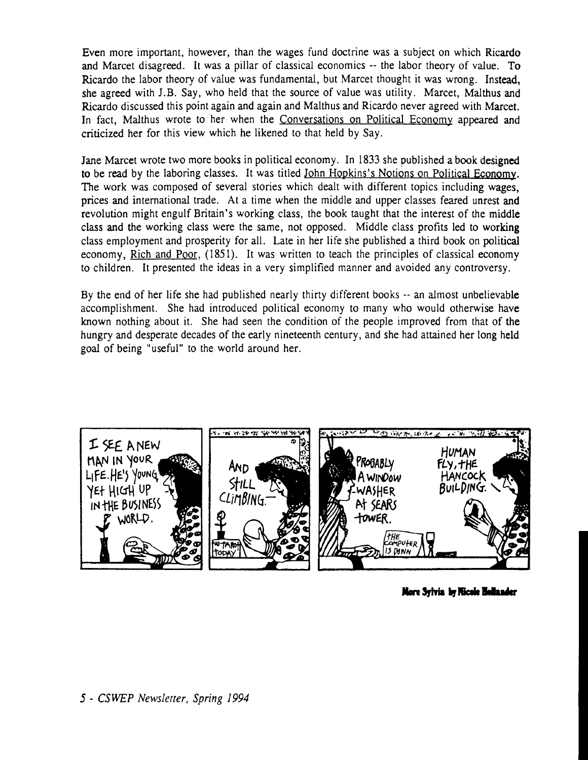Even more important, however, than the wages fund doctrine was a subject on which Ricardo and Marcet disagreed. It was a pillar of classical economics -- the labor theory of value. To Ricardo the labor theory of value was fundamental, but Marcet thought it was wrong. Instead, she agreed with J.B. Say, who held that the source of value was utility. Marcet, Malthus and Ricardo discussed this point again and again and Malthus and Ricardo never agreed with Marcet. In fact, Malthus wrote to her when the Conversations on Political Economy appeared and criticized her for this view which he likened to that held by Say.

Jane Marcet wrote two more books in political economy. In 1833 she published a book designed to be read by the laboring classes. It was titled <u>John Hopkins's Notions on Political Economy</u>. The work was composed of several stories which dealt with different topics including wages, prices and international trade. At a time when the middle and upper classes feared unrest and revolution might engulf Britain's working class, the book taught that the interest of the middle class and the working class were the same, not opposed. Middle class profits led to working class employment and prosperity for all. Late in her life she published a third book on political economy, Rich and Poor, (1851). It was written to teach the principles of classical economy to children. It presented the ideas in a very simplified manner and avoided any controversy.

By the end of her life she had published nearly thirty different books -- an almost unbelievable accomplishment. She had introduced political economy to many who would otherwise have known nothing about it. She had seen the condition of the people improved from that of the hungry and desperate decades of the early nineteenth century, and she had attained her long held goal of being "useful" to the world around her.



More Sylvia by Nicole Hollander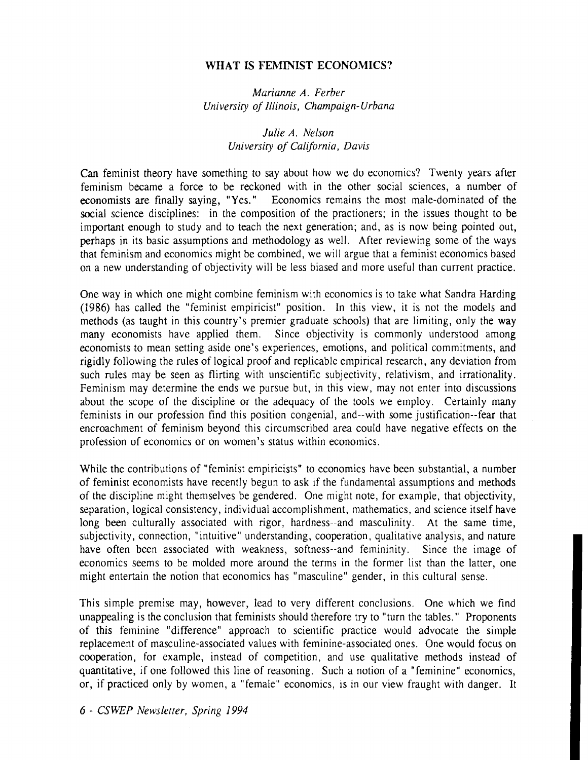#### **WHAT IS FEMINIST ECONOMICS?**

*Marianne A. Ferbcr Universiiy of Illinois, Champaign-Urbana* 

#### *Julie A. Nelson Universiiy of California, Davis*

Can feminist theory have something to say about how we do economics? Twenty years after feminism became a force to be reckoned with in the other social sciences, a number of economists are finally saying, "Yes." Economics remains the most male-dominated of the social science disciplines: in the composition of the practioners; in the issues thought to be important enough to study and to teach the next generation; and, as is now being pointed out, perhaps in its basic assumptions and methodology as well. After reviewing some of the ways that feminism and economics might be combined, we will argue that a feminist economics based on a new understanding of objectivity will be less biased and more useful than current practice.

One way in which one might combine feminism with economics is to take what Sandra Harding (1986) has called the "feminist empiricist" position. In this view, it is not the models and methods (as taught in this country's premier graduate schools) that are limiting, only the way many economists have applied them. Since objectivity is commonly understood among economists to mean setting aside one's experiences, emotions, and political commitments, and rigidly following the rules of logical proof and replicable empirical research, any deviation from such rules may be seen as flirting with unscientific subjectivity, relativism, and irrationality. Feminism may determine the ends we pursue but, in this view, may not enter into discussions about the scope of the discipline or the adequacy of the tools we employ. Certainly many feminists in our profession find this position congenial, and--with some justification--fear that encroachment of feminism beyond this circumscribed area could have negative effects on the profession of economics or on women's status within economics.

While the contributions of "feminist empiricists" to economics have been substantial, a number of feminist economists have recently begun to ask if the fundamental assumptions and methods of the discipline might themselves be gendered. One might note, for example, that objectivity, separation, logical consistency, individual accomplishment, mathematics, and science itself have long been culturally associated with rigor, hardness--and masculinity. At the same time, subjectivity, connection, "intuitive" understanding, cooperation, qualitative analysis, and nature have often been associated with weakness, softness--and femininity. Since the image of economics seems to be molded more around the terms in the former list than the latter, one might entertain the notion that economics has "masculine" gender, in this cultural sense.

This simple premise may, however, lead to very different conclusions. One which we find unappealing is the conclusion that feminists should therefore try to "turn the tables." Proponents of this feminine "difference" approach to scientific practice would advocate the simple replacement of masculine-associated values with feminine-associated ones. One would focus on cooperation, for example, instead of competition, and use qualitative methods instead of quantitative, if one followed this line of reasoning. Such a notion of a "feminine" economics, or, if practiced only by women, a "female" economics, is in our view fraught with danger. It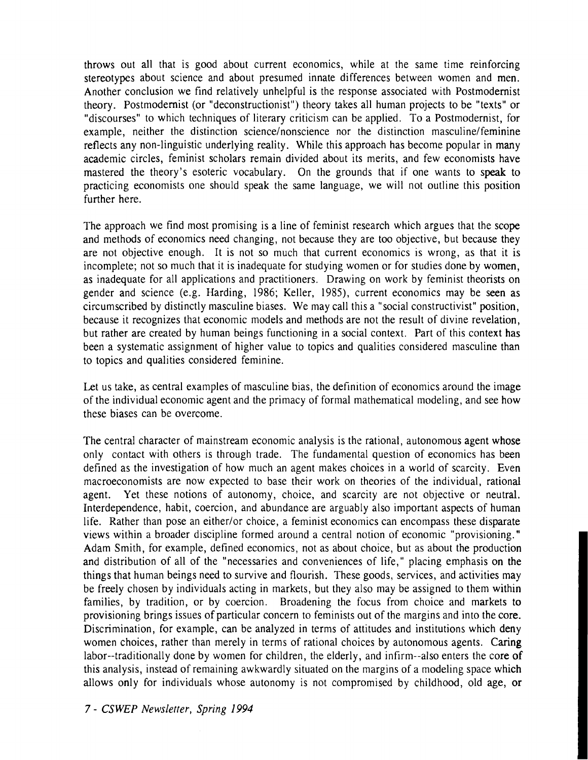throws out all that is good about current economics, while at the same time reinforcing stereotypes about science and about presumed innate differences between women and men. Another conclusion we find relatively unhelpful is the response associated with Postmodernist theory. Postmodernist (or "deconstructionist'') theory takes all human projects to be "texts" or "discourses" to which techniques of literary criticism can be applied. To a Postmodernist, for example, neither the distinction science/nonscience nor the distinction masculine/feminine reflects any non-linguistic underlying reality. While this approach has become popular in many academic circles, feminist scholars remain divided about its merits, and few economists have mastered the theory's esoteric vocabulary. On the grounds that if one wants to speak to practicing economists one should speak the same language, we will not outline this position further here.

The approach we find most promising is a line of feminist research which argues that the scope and methods of economics need changing, not because they are too objective, but because they are not objective enough. It is not so much that current economics is wrong, as that it is incomplete; not so much that it is inadequate for studying women or for studies done by women, as inadequate for all applications and practitioners. Drawing on work by feminist theorists on gender and science (e.g. Harding, 1986; Keller, 1985), current economics may be seen as circumscribed by distinctly masculine biases. We may call this a "social constructivist" position, because it recognizes that economic models and methods are not the result of divine revelation, but rather are created by human beings functioning in a social context. Part of this context has been a systematic assignment of higher value to topics and qualities considered masculine than to topics and qualities considered feminine.

Let us take, as central examples of masculine bias, the definition of economics around the image of the individual economic agent and the primacy of formal mathematical modeling, and see how these biases can be overcome.

The central character of mainstream economic analysis is the rational, autonomous agent whose only contact with others is through trade. The fundamental question of economics has been defined as the investigation of how much an agent makes choices in a world of scarcity. Even macroeconomists are now expected to base their work on theories of the individual, rational agent. Yet these notions of autonomy, choice, and scarcity are not objective or neutral. Interdependence, habit, coercion, and abundance are arguably also important aspects of human life. Rather than pose an either/or choice, a feminist economics can encompass these disparate views within a broader discipline formed around a central notion of economic "provisioning." Adam Smith, for example, defined economics, not as about choice, but as about the production and distribution of all of the "necessaries and conveniences of life," placing emphasis on the things that human beings need to survive and flourish. These goods, services, and activities may be freely chosen by individuals acting in markets, but they also may be assigned to them within families, by tradition, or by coercion. Broadening the focus from choice and markets to provisioning brings issues of particular concern to feminists out of the margins and into the core. Discrimination, for example, can be analyzed in terms of attitudes and institutions which deny women choices, rather than merely in terms of rational choices by autonomous agents. Caring labor--traditionally done by women for children, the elderly, and infirm--also enters the core of this analysis, instead of remaining awkwardly situated on the margins of a modeling space which allows only for individuals whose autonomy is not compromised by childhood, old age, or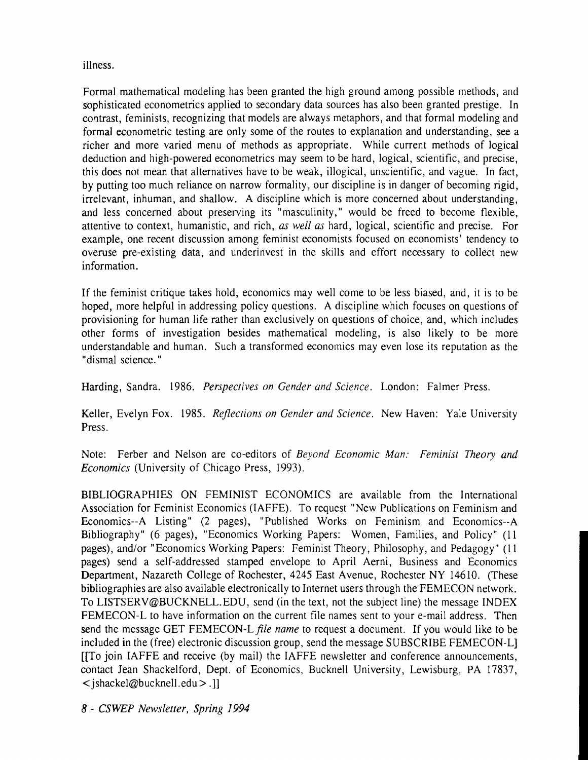illness.

Formal mathematical modeling has been granted the high ground among possible methods, and sophisticated econometrics applied to secondary data sources has also been granted prestige. In contrast, feminists, recognizing that models are always metaphors, and that formal modeling and formal econometric testing are only some of the routes to explanation and understanding, see a richer and more varied menu of methods as appropriate. While current methods of logical deduction and high-powered econometrics may seem to be hard, logical, scientific, and precise, this does not mean that alternatives have to be weak, illogical, unscientific, and vague. In fact, by putting too much reliance on narrow formality, our discipline is in danger of becoming rigid, irrelevant, inhuman, and shallow. A discipline which is more concerned about understanding, and less concerned about preserving its "masculinity," would be freed to become flexible, attentive to context, humanistic, and rich, **as** *well as* hard, logical, scientific and precise. For example, one recent discussion among feminist economists focused on economists' tendency to overuse pre-existing data, and underinvest in the skills and effort necessary to collect new information.

If the feminist critique takes hold, economics may well come to be less biased, and, it is to be hoped, more helpful in addressing policy questions. A discipline which focuses on questions of provisioning for human life rather than exclusively on questions of choice, and, which includes other forms of investigation besides mathematical modeling, is also likely to be more understandable and human. Such a transformed economics may even lose its reputation as the "dismal science."

Harding, Sandra. 1986. *Perspectives on Gender und Science.* London: Falmer Press.

Keller, Evelyn Fox. 1985. *Reflections on Gender und Science.* New Haven: Yale University Press.

Note: Ferber and Nelson are co-editors of *Beyond Economic Mun: Feminist Theory and Economics* (University of Chicago Press, 1993).

BIBLIOGRAPHIES ON FEMINIST ECONOMICS are available from the International Association for Feminist Economics (IAFFE). To request "New Publications on Feminism and Economics--A Listing" (2 pages), "Published Works on Feminism and Economics--A Bibliography" (6 pages), "Economics Working Papers: Women, Families, and Policy" (11 pages), and/or "Economics Working Papers: Feminist Theory, Philosophy, and Pedagogy" (11 pages) send a self-addressed stamped envelope to April Aerni, Business and Economics Department, Nazareth College of Rochester, 4245 East Avenue, Rochester NY 14610. (These bibliographies are also available electronically to Internet users through the FEMECON network. To LISTSERV@BUCKNELL.EDU, send (in the text, not the subject line) the message INDEX FEMECON-L to have information on the current file names sent to your e-mail address. Then send the message GET FEMECON-L file name to request a document. If you would like to be included in the (free) electronic discussion group, send the message SUBSCRIBE FEMECON-L] [[To join IAFFE and receive (by mail) the IAFFE newsletter and conference announcements, contact Jean Shackelford, Dept. of Economics, Bucknell University, Lewisburg, PA 17837,  $\le$  ishackel@bucknell.edu  $>$ .]

8 - *CSWEP Newsletter, Spring 1994*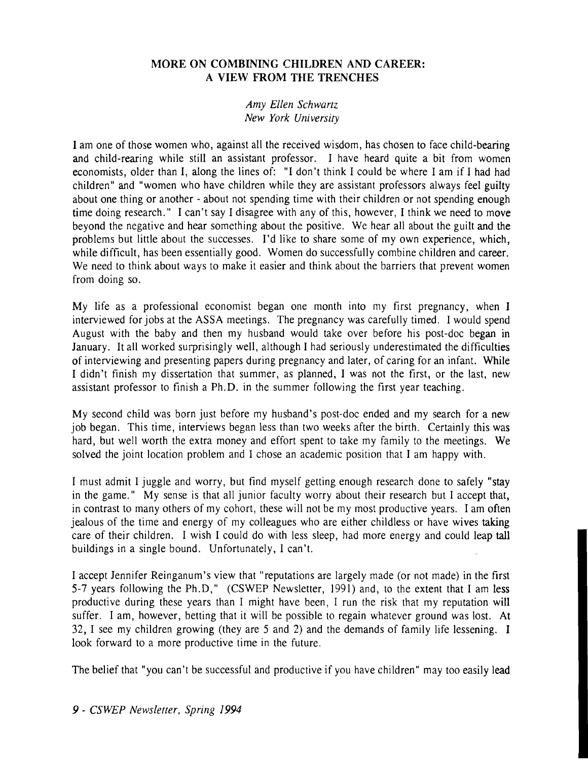# **MORE ON COMBINING CHILDREN AND CAREER: A VIEW FROM THE TRENCHES**

#### *Amy Ellen Schwartz New York University*

I am one of those women who, against all the received wisdom, has chosen to face child-bearing and child-rearing while still an assistant professor. I have heard quite a bit from women economists, older than I, along the lines of: "I don't think I could be where I am if I had had children" and "women who have children while they are assistant professors always feel guilty about one thing or another - about not spending time with their children or not spending enough time doing research." I can't say I disagree with any of this, however, I think we need to move beyond the negative and hear something about the positive. We hear all about the guilt and the problems but little about the successes. I'd like to share some of my own experience, which, while difficult, has been essentially good. Women do successfully combine children and career. We need to think about ways to make it easier and think about the barriers that prevent women from doing so.

My life as a professional economist began one month into my first pregnancy, when I interviewed for jobs at the ASSA meetings. The pregnancy was carefully timed. I would spend August with the baby and then my husband would take over before his post-doc began in January. It all worked surprisingly well, although I had seriously underestimated the difficulties of interviewing and presenting papers during pregnancy and later, of caring for an infant. While I didn't finish my dissertation that summer, as planned, I was not the first, or the last, new assistant professor to finish a Ph.D. in the summer following the first year teaching.

My second child was born just before my husband's post-doc ended and my search for a new job began. This time, interviews began less than two weeks after the birth. Certainly this was hard, but well worth the extra money and effort spent to take my family to the meetings. We solved the joint location problem and I chose an academic position that I am happy with.

I must admit I juggle and worry, but find myself getting enough research done to safely "stay in the game." My sense is that all junior faculty worry about their research but I accept that, in contrast to many others of my cohort, these will not be my most productive years. I am often jealous of the time and energy of my colleagues who are either childless or have wives taking care of their children. I wish I could do with less sleep, had more energy and could leap tall buildings in a single bound. Unfortunately, I can't.

I accept Jennifer Reinganum's view that "reputations are largely made (or not made) in the first 5-7 years following the Ph.D," (CSWEP Newsletter, 1991) and, to the extent that I am less productive during these years than I might have been, I run the risk that my reputation will suffer. I am, however, betting that it will be possible to regain whatever ground was lost. At 32, I see my children growing (they are 5 and 2) and the demands of family life lessening. I look forward to a more productive time in the future.

The belief that "you can't be successful and productive if you have children" may too easily lead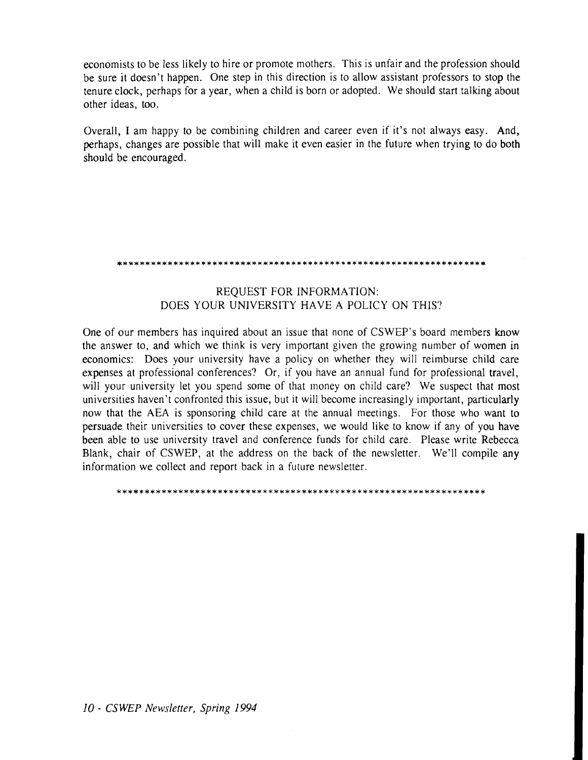economists to be less likely to hire or promote mothers. This is unfair and the profession should be sure it doesn't happen. One step in this direction is to allow assistant professors to stop the tenure clock, perhaps for a year, when a child is born or adopted. We should start talking about other ideas, too.

Overall, I am happy to be combining children and career even if it's not always easy. And, perhaps, changes are possible that will make it even easier in the future when trying to do both should be encouraged.

#### 

#### REQUEST FOR INFORMATION: DOES YOUR UNIVERSITY HAVE A POLICY ON THIS?

One of our members has inquired about an issue that none of CSWEP's board members know the answer to, and which we think is very important given the growing number of women in economics: Does your university have a policy on whether they will reimburse child care expenses at professional conferences? Or, if you have an annual fund for professional travel, will your university let you spend some of that money on child care? We suspect that most universities haven't confronted this issue, but it will become increasingly important, particularly now that the AEA is sponsoring child care at the annual meetings. For those who want to persuade their universities to cover these expenses, we would like to know if any of you have been able to use university travel and conference funds for child care. Please write Rebecca Blank, chair of CSWEP, at the address on the back of the newsletter. We'll compile any information we collect and report back in a future newsletter.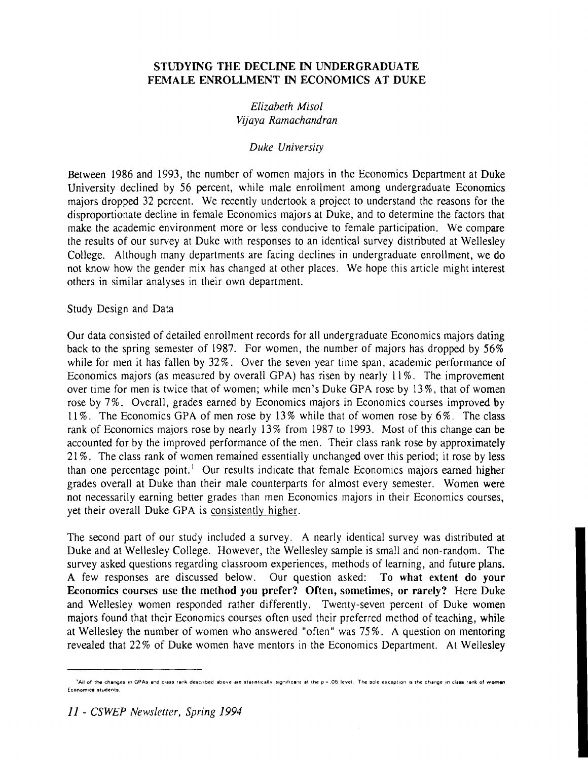# **STUDYING THE DECLINE IN UNDERGRADUATE FEMALE ENROLLMENT IN ECONOMICS AT DUKE**

# *Elizabeth Misol Vijaya Ramachandran*

#### *Duke University*

Between 1986 and 1993, the number of women majors in the Economics Department at Duke University declined by 56 percent, while male enrollment among undergraduate Economics majors dropped 32 percent. We recently undertook a project to understand the reasons for the disproportionate decline in female Economics majors at Duke, and to determine the factors that make the academic environment more or less conducive to female participation. We compare the results of our survey at Duke with responses to an identical survey distributed at Wellesley College. Although many departments are facing declines in undergraduate enrollment, we do not know how the gender mix has changed at other places. We hope this article might interest others in similar analyses in their own department.

#### Study Design and Data

Our data consisted of detailed enrollment records for all undergraduate Economics majors dating back to the spring semester of 1987. For women, the number of majors has dropped by 56% while for men it has fallen by 32%. Over the seven year time span, academic performance of Economics majors (as measured by overall GPA) has risen by nearly 11%. The improvement over time for men is twice that of women; while men's Duke GPA rose by 13%, that of women rose by 7%. Overall, grades earned by Economics majors in Economics courses improved by 11 %. The Economics GPA of men rose by 13% while that of women rose by 6%. The class rank of Economics majors rose by nearly 13% from 1987 to 1993. Most of this change can be accounted for by the improved performance of the men. Their class rank rose by approximately 21 %. The class rank of women remained essentially unchanged over this period; it rose by less than one percentage point.' Our results indicate that female Economics majors earned higher grades overall at Duke than their male counterparts for almost every semester. Women were not necessarily earning better grades than men Economics majors in their Economics courses, yet their overall Duke GPA is consistently higher.

The second part of our study included a survey. A nearly identical survey was distributed at Duke and at Wellesley College. However, the Wellesley sample is small and non-random. The survey asked questions regarding classroom experiences, methods of learning, and future plans. **A** few responses are discussed below. Our question asked: **To what extent do your Economics courses use the method you prefer? Often, sometimes, or rarely?** Here Duke and Wellesley women responded rather differently. Twenty-seven percent of Duke women majors found that their Economics courses often used their preferred method of teaching, while at Wellesley the number of women who answered "often" was 75%. A question on mentoring revealed that 22% of Duke women have mentors in the Economics Department. At Wellesley

<sup>&</sup>lt;sup>1</sup> All of the changes in GPAs and class rank described above are statistically significant at the p = .05 level. The sole exception is the change in class rank of women **Economics students**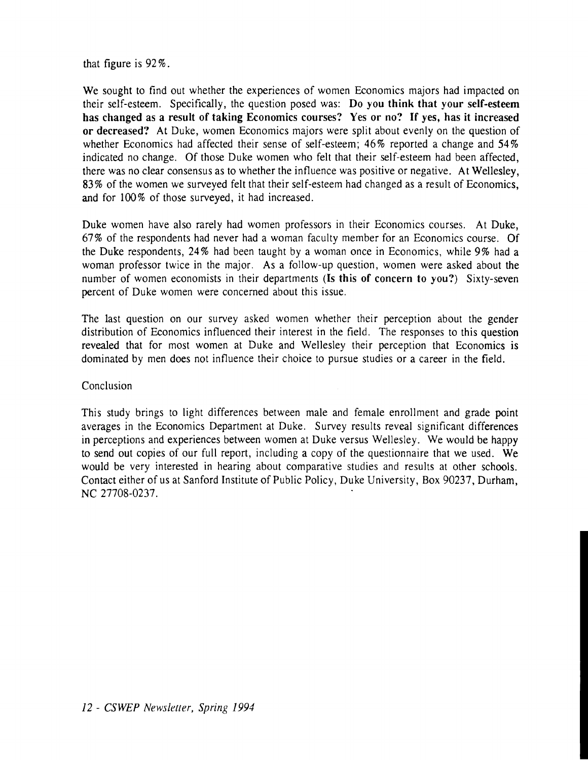that figure is 92 %.

We sought to find out whether the experiences of women Economics majors had impacted on their self-esteem. Specifically, the question posed was: **Do you think that your self-esteem has changed as a result of taking Economics courses? Yes or no? If yes, has it increased or decreased?** At Duke, women Economics majors were split about evenly on the question of whether Economics had affected their sense of self-esteem; 46% reported a change and 54% indicated no change. Of those Duke women who felt that their self-esteem had been affected, there was no clear consensus as to whether the influence was positive or negative. At Wellesley, 83% of the women we surveyed felt that their self-esteem had changed as a result of Economics, and for 100% of those surveyed, it had increased.

Duke women have also rarely had women professors in their Economics courses. At Duke, 67% of the respondents had never had a woman faculty member for an Economics course. Of the Duke respondents, 24% had been taught by a woman once in Economics, while 9% had a woman professor twice in the major. As a follow-up question, women were asked about the number of women economists in their departments **(Is this of concern to you?)** Sixty-seven percent of Duke women were concerned about this issue.

The last question on our survey asked women whether their perception about the gender distribution of Economics influenced their interest in the field. The responses to this question revealed that for most women at Duke and Wellesley their perception that Economics is dominated by men does not influence their choice to pursue studies or a career in the field.

Conclusion

This study brings to light differences between male and female enrollment and grade point averages in the Economics Department at Duke. Survey results reveal significant differences in perceptions and experiences between women at Duke versus Wellesley. We would be happy to send out copies of our full report, including a copy of the questionnaire that we used. We would be very interested in hearing about comparative studies and results at other schools. Contact either of us at Sanford Institute of Public Policy, Duke University, Box 90237, Durham, NC 27708-0237.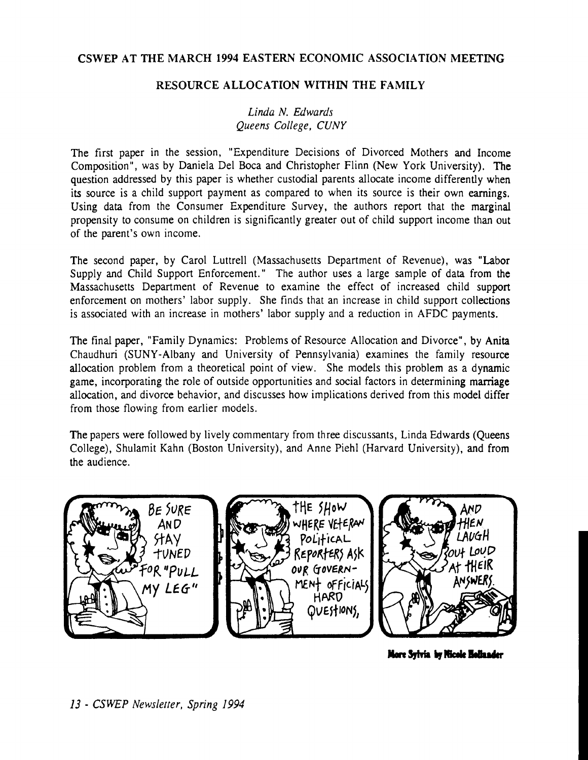# CSWEP AT THE MARCH 1994 EASTERN ECONOMIC ASSOCIATION MEETING

# RESOURCE ALLOCATION WITHIN THE FAMILY

*Linda N. Edwards Queens College, CUNY* 

The first paper in the session, "Expenditure Decisions of Divorced Mothers and Income Composition", was by Daniela Del Boca and Christopher Flinn (New York University). The question addressed by this paper is whether custodial parents allocate income differently when its source is a child support payment as compared to when its source is their own earnings. Using data from the Consumer Expenditure Survey, the authors report that the marginal propensity to consume on children is significantly greater out of child support income than out of the parent's own income.

The second paper, by Carol Luttrell (Massachusetts Department of Revenue), was "Labor Supply and Child Support Enforcement." The author uses a large sample of data from the Massachusetts Department of Revenue to examine the effect of increased child support enforcement on mothers' labor supply. She finds that an increase in child support collections is associated with an increase in mothers' labor supply and a reduction in AFDC payments.

The final paper, "Family Dynamics: Problems of Resource Allocation and Divorce", by Anita Chaudhuri (SUNY-Albany and University of Pennsylvania) examines the family resource allocation problem from a theoretical point of view. She models this problem as a dynamic game, incorporating the role of outside opportunities and social factors in determining marriage allocation, and divorce behavior, and discusses how implications derived from this model differ from those flowing from earlier models.

The papers were followed by lively commentary from three discussants, Linda Edwards (Queens College), Shulamit Kahn (Boston University), and Anne Piehl (Harvard University), and from the audience.



More Sylvia by Nicole Hollander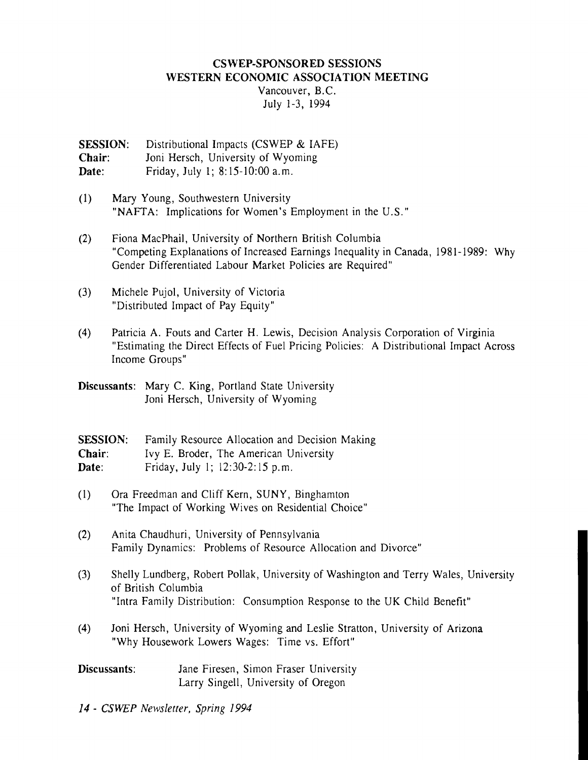#### CSWEP-SPONSORED SESSIONS WESTERN ECONOMIC ASSOCIATION MEETING

Vancouver, B.C. July 1-3, 1994

SESSION: Distributional Impacts (CSWEP & IAFE) Chair: Joni Hersch, University of Wyoming Date: Friday, July 1; 8: 15-10:OO a.m.

- (1) Mary Young, Southwestern University "NAFTA: Implications for Women's Employment in the U.S."
- (2) Fiona MacPhail, University of Northern British Columbia "Competing Explanations of Increased Earnings Inequality in Canada, 1981-1989: Why Gender Differentiated Labour Market Policies are Required"
- (3) Michele Pujol, University of Victoria "Distributed Impact of Pay Equity"
- (4) Patricia A. Fouts and Carter H. Lewis, Decision Analysis Corporation of Virginia "Estimating the Direct Effects of Fuel Pricing Policies: A Distributional Impact Across Income Groups"

Discussants: Mary C. King, Portland State University Joni Hersch, University of Wyoming

SESSION: Family Resource Allocation and Decision Making Chair: Ivy E. Broder, The American University Date: Friday, July 1; 12:30-2:15 p.m.

- $(1)$ Ora Freedman and Cliff Kern, SUNY, Binghamton "The Impact of Working Wives on Residential Choice"
- $(2)$ Anita Chaudhuri, University of Pennsylvania Family Dynamics: Problems of Resource Allocation and Divorce"
- $(3)$ Shelly Lundberg, Robert Pollak, University of Washington and Terry Wales, University of British Columbia "Intra Family Distribution: Consumption Response to the UK Child Benefit"
- Joni Hersch, University of Wyoming and Leslie Stratton, University of Arizona  $(4)$ "Why Housework Lowers Wages: Time vs. Effort"
- Discussants: Jane Firesen, Simon Fraser University Larry Singell, University of Oregon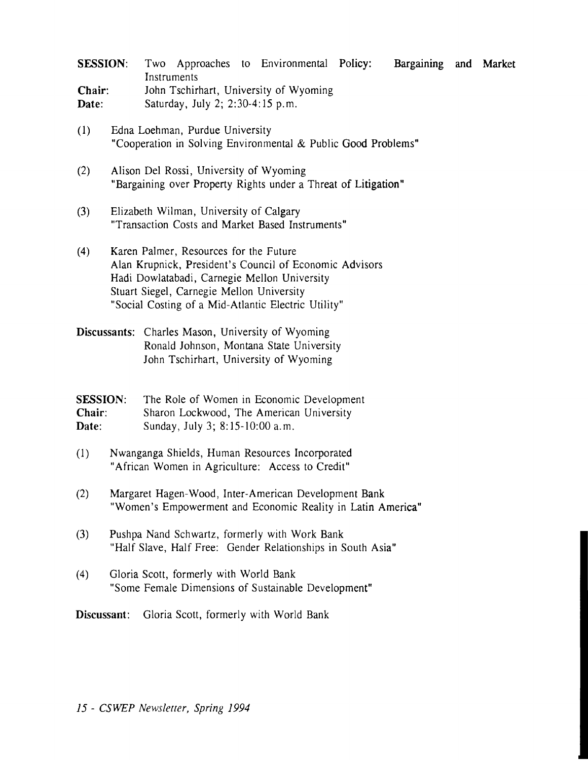| <b>SESSION:</b> |                                        |  |  | Two Approaches to Environmental Policy: |  | Bargaining and Market |  |  |
|-----------------|----------------------------------------|--|--|-----------------------------------------|--|-----------------------|--|--|
|                 | Instruments                            |  |  |                                         |  |                       |  |  |
| Chair:          | John Tschirhart, University of Wyoming |  |  |                                         |  |                       |  |  |
| Date:           | Saturday, July 2; 2:30-4:15 p.m.       |  |  |                                         |  |                       |  |  |

- (1) Edna Loehman, Purdue University "Cooperation in Solving Environmental & Public Good Problems"
- (2) Alison Del Rossi, University of Wyoming "Bargaining over Property Rights under a Threat of Litigation"
- (3) Elizabeth Wilman, University of Calgary "Transaction Costs and Market Based Instruments"
- **(4)** Karen Palmer, Resources for the Future Alan Krupnick, President's Council of Economic Advisors Hadi Dowlatabadi, Carnegie Mellon University Stuart Siegel, Carnegie Mellon University "Social Costing of a Mid-Atlantic Electric Utility"
- Discussants: Charles Mason, University of Wyoming Ronald Johnson, Montana State University John Tschirhart, University of Wyoming

**SESSION:** The Role of Women in Economic Development Chair: Sharon Lockwood, The American University Date: Sunday, July 3; 8: 15- 10:OO a.m.

- (1) Nwanganga Shields, Human Resources Incorporated "African Women in Agriculture: Access to Credit"
- (2) Margaret Hagen-Wood, Inter- American Development Bank "Women's Empowerment and Economic Reality in Latin America"
- (3) Pushpa Nand Schwartz, formerly with Work Bank "Half Slave, Half Free: Gender Relationships in South Asia"
- (4) Gloria Scott, formerly with World Bank "Some Female Dimensions of Sustainable Development"

Discussant: Gloria Scott, formerly with World Bank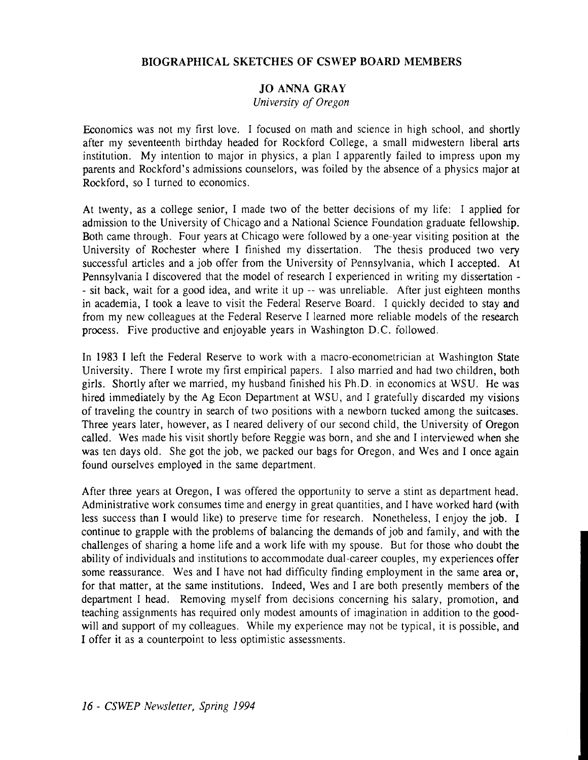# **BIOGRAPHICAL SKETCHES OF CSWEP BOARD MEMBERS**

# **JO ANNA GRAY**

#### *University of Oregon*

Economics was not my first love. I focused on math and science in high school, and shortly after my seventeenth birthday headed for Rockford College, a small midwestern liberal arts institution. My intention to major in physics, a plan I apparently failed to impress upon my parents and Rockford's admissions counselors, was foiled by the absence of a physics major at Rockford, so I turned to economics.

At twenty, as a college senior, I made two of the better decisions of my life: I applied for admission to the University of Chicago and a National Science Foundation graduate fellowship. Both came through. Four years at Chicago were followed by a one-year visiting position at the University of Rochester where I finished my dissertation. The thesis produced two very successful articles and a job offer from the University of Pennsylvania, which I accepted. At Pennsylvania I discovered that the model of research I experienced in writing my dissertation - - sit back, wait for a good idea, and write it up -- was unreliable. After just eighteen months in academia, I took a leave to visit the Federal Reserve Board. I quickly decided to stay and from my new colleagues at the Federal Reserve I learned more reliable models of the research process. Five productive and enjoyable years in Washington D.C. followed.

In 1983 I left the Federal Reserve to work with a macro-econometrician at Washington State University. There I wrote my first empirical papers. I also married and had two children, both girls. Shortly after we married, my husband finished his Ph.D. in economics at WSU. He was hired immediately by the Ag Econ Department at WSU, and I gratefully discarded my visions of traveling the country in search of two positions with a newborn tucked among the suitcases. Three years later, however, as I neared delivery of our second child, the University of Oregon called. Wes made his visit shortly before Reggie was born, and she and I interviewed when she was ten days old. She got the job, we packed our bags for Oregon, and Wes and I once again found ourselves employed in the same department.

After three years at Oregon, I was offered the opportunity to serve a stint as department head. Administrative work consumes time and energy in great quantities, and I have worked hard (with less success than I would like) to preserve time for research. Nonetheless, I enjoy the job. I continue to grapple with the problems of balancing the demands of job and family, and with the challenges of sharing a home life and a work life with my spouse. But for those who doubt the ability of individuals and institutions to accommodate dual-career couples, my experiences offer some reassurance. Wes and I have not had difficulty finding employment in the same area or, for that matter, at the same institutions. Indeed, Wes and I are both presently members of the department I head. Removing myself from decisions concerning his salary, promotion, and teaching assignments has required only modest amounts of imagination in addition to the goodwill and support of my colleagues. While my experience may not be typical, it is possible, and I offer it as a counterpoint to less optimistic assessments.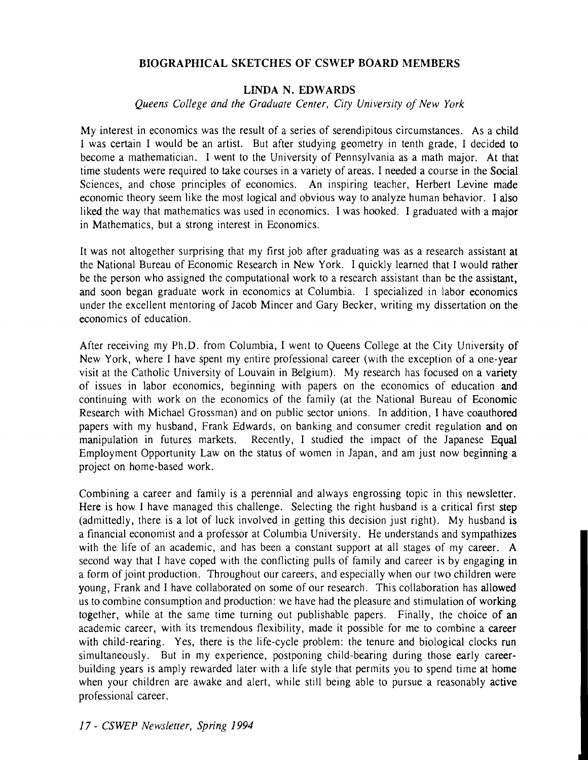#### **BIOGRAPHICAL SKETCHES OF CSWEP BOARD MEMBERS**

#### **LINDA N. EDWARDS**

*Queens College and the Graduate Center, City University of New York* 

My interest in economics was the result of a series of serendipitous circumstances. As a child I was certain I would be an artist. But after studying geometry in tenth grade, I decided to become a mathematician. I went to the University of Pennsylvania as a math major. At that time students were required to take courses in a variety of areas. I needed a course in the Social Sciences, and chose principles of economics. An inspiring teacher, Herbert Levine made economic theory seem like the most logical and obvious way to analyze human behavior. I also liked the way that mathematics was used in economics. I was hooked. I graduated with a major in Mathematics, but a strong interest in Economics.

It was not altogether surprising that my first job after graduating was as a research assistant at the National Bureau of Economic Research in New York. I quickly learned that I would rather be the person who assigned the computational work to a research assistant than be the assistant, and soon began graduate work in economics at Columbia. I specialized in labor economics under the excellent mentoring of Jacob Mincer and Gary Becker, writing my dissertation on the economics of education.

After receiving my Ph.D. from Columbia, I went to Queens College at the City University of New York, where I have spent my entire professional career (with the exception of a one-year visit at the Catholic University of Louvain in Belgium). My research has focused on a variety of issues in labor economics, beginning with papers on the economics of education and continuing with work on the economics of the family (at the National Bureau of Economic Research with Michael Grossman) and on public sector unions. In addition, I have coauthored papers with my husband, Frank Edwards, on banking and consumer credit regulation and on manipulation in futures markets. Recently, I studied the impact of the Japanese Equal Employment Opportunity Law on the status of women in Japan, and am just now beginning a project on home-based work.

Combining a career and family is a perennial and always engrossing topic in this newsletter. Here is how I have managed this challenge. Selecting the right husband is a critical first step (admittedly, there is a lot of luck involved in getting this decision just right). My husband is a financial economist and a professor at Columbia University. He understands and sympathizes with the life of an academic, and has been a constant support at all stages of my career. A second way that I have coped with the conflicting pulls of family and career is by engaging in a form of joint production. Throughout our careers, and especially when our two children were young, Frank and I have collaborated on some of our research. This collaboration has allowed us to combine consumption and production: we have had the pleasure and stimulation of working together, while at the same time turning out publishable papers. Finally, the choice of an academic career, with its tremendous flexibility, made it possible for me to combine a career with child-rearing. Yes, there is the life-cycle problem: the tenure and biological clocks run simultaneously. But in my experience, postponing child-bearing during those early careerbuilding years is amply rewarded later with a life style that permits you to spend time at home when your children are awake and alert, while still being able to pursue a reasonably active professional career.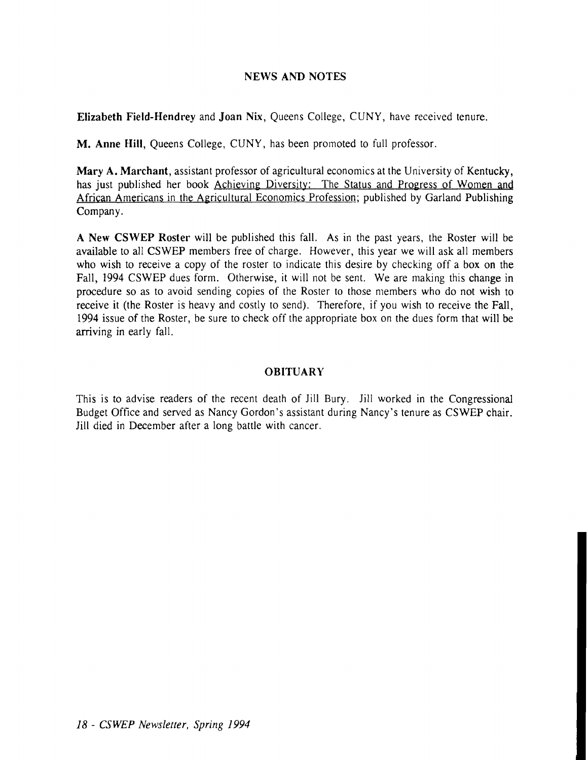#### NEWS AND NOTES

Elizabeth Field-Hendrey and Joan Nix, Queens College, CUNY, have received tenure.

M. Anne Hill, Queens College, CUNY, has been promoted to full professor.

Mary A. Marchant, assistant professor of agricultural economics at the University of Kentucky, has just published her book Achieving Diversity: The Status and Progress of Women and African Americans in the Agricultural Economics Profession; published by Garland Publishing Company.

A New CSWEP Roster will be published this fall. As in the past years, the Roster will be available to all CSWEP members free of charge. However, this year we will ask all members who wish to receive a copy of the roster to indicate this desire by checking off a box on the Fall, 1994 CSWEP dues form. Otherwise, it will not be sent. We are making this change in procedure so as to avoid sending copies of the Roster to those members who do not wish to receive it (the Roster is heavy and costly to send). Therefore, if you wish to receive the Fall, 1994 issue of the Roster, be sure to check off the appropriate box on the dues form that will be arriving in early fall.

#### **OBITUARY**

This is to advise readers of the recent death of Jill Bury. Jill worked in the Congressional Budget Office and served as Nancy Gordon's assistant during Nancy's tenure as CSWEP chair. Jill died in December after a long battle with cancer.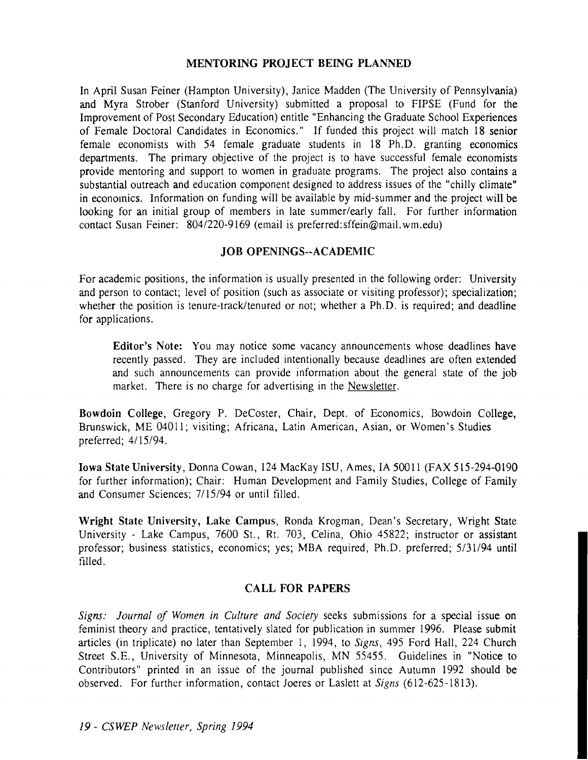#### **MENTORING PROJECT BEING PLANNED**

In April Susan Feiner (Hampton University), Janice Madden (The University of Pennsylvania) and Myra Strober (Stanford University) submitted a proposal to FIPSE (Fund for the Improvement of Post Secondary Education) entitle "Enhancing the Graduate School Experiences of Female Doctoral Candidates in Economics." If funded this project will match 18 senior female economists with 54 female graduate students in 18 Ph.D. granting economics departments. The primary objective of the project is to have successful female economists provide mentoring and support to women in graduate programs. The project also contains a substantial outreach and education component designed to address issues of the "chilly climate" in economics. Information on funding will be available by mid-summer and the project will be looking for an initial group of members in late summer/early fall. For further information contact Susan Feiner: 8041220-9169 (email is preferred:sffein@mail.wm.edu)

# **JOB OPENINGS--ACADEMIC**

For academic positions, the information is usually presented in the following order: University and person to contact; level of position (such as associate or visiting professor); specialization; whether the position is tenure-track/tenured or not; whether a Ph.D. is required; and deadline for applications.

**Editor's Note:** You may notice some vacancy announcements whose deadlines have recently passed. They are included intentionally because deadlines are often extended and such announcements can provide information about the general state of the job market. There is no charge for advertising in the Newsletter.

**Bowdoin College,** Gregory **P.** DeCoster, Chair, Dept. of Economics, Bowdoin College, Brunswick, ME 04011; visiting; Africana, Latin American, Asian, or Women's Studies preferred; 41 15/94.

**Iowa State University, Donna Cowan, 124 MacKay ISU, Ames, IA 50011 (FAX 515-294-0190)** for further information); Chair: Human Development and Family Studies, College of Family and Consumer Sciences; 7/15/94 or until filled.

**Wright State University, Lake Campus,** Ronda Krogman, Dean's Secretary, Wright State University - Lake Campus, 7600 St., Rt. 703, Celina, Ohio 45822; instructor or assistant professor; business statistics, economics; yes; MBA required, Ph.D. preferred; 5/31/94 until filled.

# **CALL FOR PAPERS**

*Signs: Journal of Women in Culrure and Sociery* seeks submissions for a special issue on feminist theory and practice, tentatively slated for publication in summer 1996. Please submit articles (in triplicate) no later than September 1, 1994, to *Signs,* 495 Ford Hall, 224 Church Street S.E., University of Minnesota, Minneapolis, MN 55455. Guidelines in "Notice to Contributors" printed in an issue of the journal published since Autumn 1992 should be observed. For further information, contact Joeres or Laslett at *Signs* (612-625-1813).